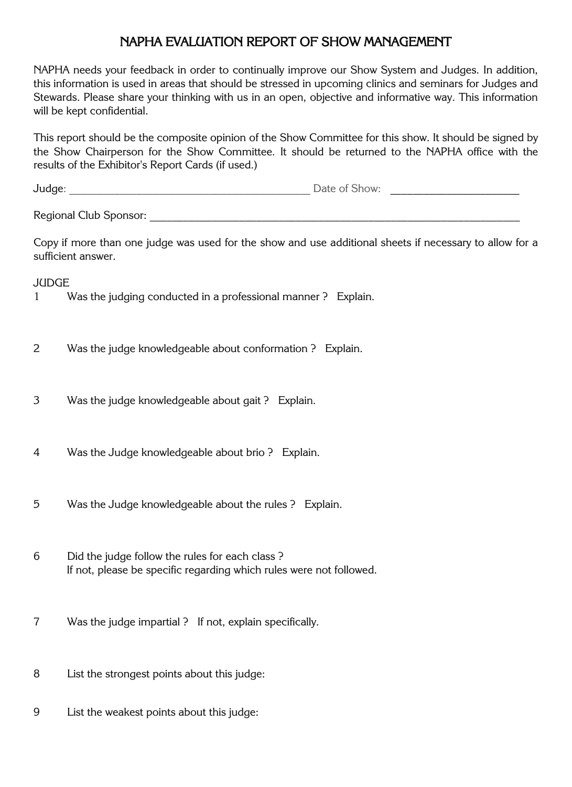## NAPHA EVALUATION REPORT OF SHOW MANAGEMENT

NAPHA needs your feedback in order to continually improve our Show System and Judges. In addition, this information is used in areas that should be stressed in upcoming clinics and seminars for Judges and Stewards. Please share your thinking with us in an open, objective and informative way. This information will be kept confidential.

This report should be the composite opinion of the Show Committee for this show. It should be signed by the Show Chairperson for the Show Committee. It should be returned to the NAPHA office with the results of the Exhibitor's Report Cards (if used.)

| undae<br>$   -$ | Jate<br>$\mathbf{H}$<br>$\mathcal{N}$ |  |
|-----------------|---------------------------------------|--|
| . .             |                                       |  |

Regional Club Sponsor: \_\_\_\_\_\_\_\_\_\_\_\_\_\_\_\_\_\_\_\_\_\_\_\_\_\_\_\_\_\_\_\_\_\_\_\_\_\_\_\_\_\_\_\_\_\_\_\_\_\_\_\_\_\_\_\_\_\_\_\_\_\_\_\_\_\_

Copy if more than one judge was used for the show and use additional sheets if necessary to allow for a sufficient answer.

**JUDGE** 

- 1 Was the judging conducted in a professional manner ? Explain.
- 2 Was the judge knowledgeable about conformation ? Explain.
- 3 Was the judge knowledgeable about gait ? Explain.
- 4 Was the Judge knowledgeable about brio ? Explain.
- 5 Was the Judge knowledgeable about the rules ? Explain.
- 6 Did the judge follow the rules for each class ? If not, please be specific regarding which rules were not followed.
- 7 Was the judge impartial ? If not, explain specifically.
- 8 List the strongest points about this judge:
- 9 List the weakest points about this judge: